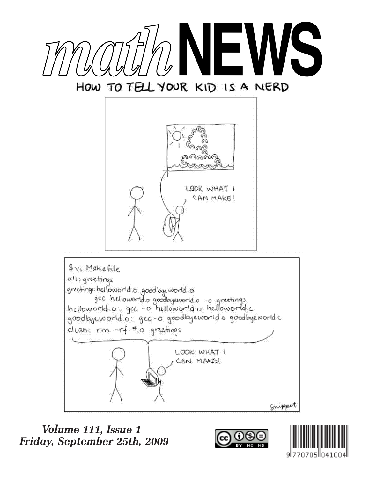

# HOW TO TELL YOUR KID IS A NERD



goodbyeworld.o. gec-o goodbyeworld.o goodbyeworld.c clean. rm -rf \*.o greetings LOOK WHAT I CAN MAKE!

Snipper

# Volume 111, Issue 1 Friday, September 25th, 2009



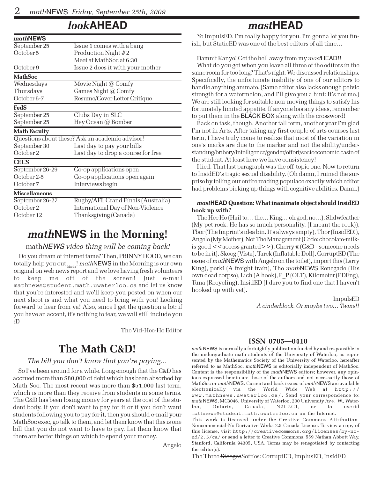# look**AHEAD**

| mathNEWS             |                                                 |  |  |  |  |  |
|----------------------|-------------------------------------------------|--|--|--|--|--|
| September 25         | Issue 1 comes with a bang                       |  |  |  |  |  |
| October 5            | Production Night #2                             |  |  |  |  |  |
|                      | Meet at MathSoc at 6:30                         |  |  |  |  |  |
| October 9            | Issue 2 does it with your mother                |  |  |  |  |  |
| <b>MathSoc</b>       |                                                 |  |  |  |  |  |
| Wednesdays           | Movie Night @ Comfy                             |  |  |  |  |  |
| Thursdays            | Games Night @ Comfy                             |  |  |  |  |  |
| October 6-7          | Resume/Cover Letter Critique                    |  |  |  |  |  |
| FedS                 |                                                 |  |  |  |  |  |
| September 25         | Clubs Day in SLC                                |  |  |  |  |  |
| September 25         | Hey Ocean @ Bomber                              |  |  |  |  |  |
| <b>Math Faculty</b>  |                                                 |  |  |  |  |  |
|                      | Questions about these? Ask an academic advisor! |  |  |  |  |  |
| September 30         | Last day to pay your bills                      |  |  |  |  |  |
| October 2            | Last day to drop a course for free              |  |  |  |  |  |
| <b>CECS</b>          |                                                 |  |  |  |  |  |
| September 26-29      | Co-op applications open                         |  |  |  |  |  |
| October 2-5          | Co-op applications open again                   |  |  |  |  |  |
| October 7            | Interviews begin                                |  |  |  |  |  |
| <b>Miscellaneous</b> |                                                 |  |  |  |  |  |
| September 26-27      | Rugby/AFL Grand Finals (Australia)              |  |  |  |  |  |
| October 2            | International Day of Non-Violence               |  |  |  |  |  |
| October 12           | Thanksgiving (Canada)                           |  |  |  |  |  |

### math**NEWS** in the Morning!

#### mathNEWS video thing will be coming back!

Do you dream of internet fame? Then, PRINNY DOOD, we can totally help you out  $_{\rm kind}$ ! mathNEWS in the Morning is our own original on web news report and we love having fresh volunteers to keep me off of the screen! Just e-mail mathnews@student.math.uwaterloo.ca and let us know that you're interested and we'll keep you posted on when our next shoot is and what you need to bring with you! Looking forward to hear from ya! Also, since I get the question a lot: if you have an accent, it's nothing to fear, we will still include you :D

The Vid-Hee-Ho Editor

# The Math C&D!

#### The bill you don't know that you're paying...

So I've been around for a while. Long enough that the C&D has accrued more than \$80,000 of debt which has been absorbed by Math Soc. The most recent was more than \$51,000 last term, which is more than they receive from students in some terms. The C&D has been losing money for years at the cost of the student body. If you don't want to pay for it or if you don't want students following you to pay for it, then you should e-mail your MathSoc exec, go talk to them, and let them know that this is one bill that you do not want to have to pay. Let them know that there are better things on which to spend your money.

Angelo

### mast**HEAD**

Yo ImpulsED. I'm really happy for you. I'm gonna let you finish, but StaticED was one of the best editors of all time…

#### Damnit Kanye! Get the hell away from my mastHEAD!!

What do you get when you leave all three of the editors in the same room for too long? That's right. We discussed relationships. Specifically, the unfortunate inability of one of our editors to handle anything animate. (Same editor also lacks enough pelvic strength for a watermelon, and I'll give you a hint: It's not me.) We are still looking for suitable non-moving things to satisfy his fortunately limited appetite. If anyone has any ideas, remember to put them in the BLACK BOX along with the crossword!

Back on task, though. Another fall term, another year I'm glad I'm not in Arts. After taking my first couple of arts courses last term, I have truly come to realize that most of the variation in one's marks are due to the marker and not the ability/understanding/bribery/intelligence/gender/effort/socioeconomic caste of the student. At least here we have consistency!

I lied. That last paragraph was the off-topic one. Now to return to InsidED's tragic sexual disability. (Oh damn, I ruined the surprise by telling our entire reading populace exactly which editor had problems picking up things with cognitive abilities. Damn.)

#### mast**HEAD** Question: What inanimate object should InsidED hook up with?

The Hee Ho (Hail to… the… King… oh god, no…), Shdwfeather (My pet rock. He has so much personality. (I meant the rock)), Tbor (The Imprint's idea bin. It's always empty), Thor (InsidED!), Angelo (My Mother), Not The Management (Code: chocolate-milkis-good  $\lt$  access granted $\gt$ ), Cherry  $\pi$  (C&D - someone needs to be in it), Skoog (Vista), Tarek (Inflatable Doll), CorruptED (The issue of mathNEWS with Angelo on the toilet), import this (Larry King), perki (A freight train), The mathNEWS Renegade (His own dead corpse), Lich (A hook), P\_P (OLT), Kilometer (PDEng), Tuna (Recycling), InsidED (I dare you to find one that I haven't hooked up with yet).

> ImpulsED A cinderblock. Or maybe two… Twins!!

#### ISSN 0705—0410

mathNEWS is normally a fortnightly publication funded by and responsible to the undergraduate math students of the University of Waterloo, as represented by the Mathematics Society of the University of Waterloo, hereafter referred to as MathSoc. mathNEWS is editorially independent of MathSoc. Content is the responsibility of the mathNEWS editors; however, any opinions expressed herein are those of the authors and not necessarily those of MathSoc or mathNEWS. Current and back issues of mathNEWS are available electronically via the World Wide Web at http:// www.mathnews.uwaterloo.ca/. Send your correspondence to: mathNEWS, MC3046, University of Waterloo, 200 University Ave. W., Waterloo, Ontario, Canada, N2L 3G1, or to userid mathnews@student.math.uwaterloo.ca on the Internet.

This work is licensed under the Creative Commons Attribution-Noncommercial-No Derivative Works 2.5 Canada License. To view a copy of this license, visit http://creativecommons.org/licenses/by-ncnd/2.5/ca/ or send a letter to Creative Commons, 559 Nathan Abbott Way, Stanford, California 94305, USA. Terms may be renegotiated by contacting the editor(s).

The Three StoogesSofties: CorruptED, ImplusED, InsidED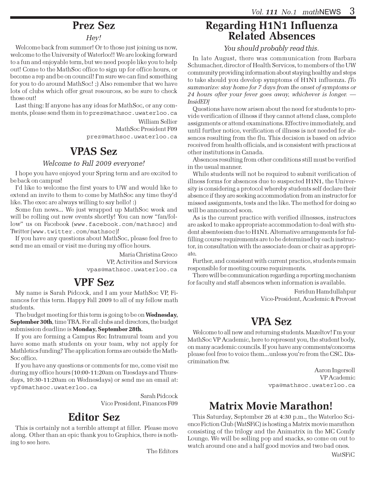# Prez Sez

#### Hey!

Welcome back from summer! Or to those just joining us now, welcome to the University of Waterloo!! We are looking forward to a fun and enjoyable term, but we need people like you to help out! Come to the MathSoc office to sign up for office hours, or become a rep and be on council! I'm sure we can find something for you to do around MathSoc! ;) Also remember that we have lots of clubs which offer great resources, so be sure to check those out!

Last thing: If anyone has any ideas for MathSoc, or any comments, please send them in to prez@mathsoc.uwaterloo.ca

> William Sellier MathSoc President F09 prez@mathsoc.uwaterloo.ca

# VPAS Sez

#### Welcome to Fall 2009 everyone!

I hope you have enjoyed your Spring term and are excited to be back on campus!

I'd like to welcome the first years to UW and would like to extend an invite to them to come by MathSoc any time they'd like. The exec are always willing to say hello! :)

Some fun news... We just wrapped up MathSoc week and will be rolling out new events shortly! You can now "fan/follow" us on Facebook (www.facebook.com/mathsoc) and Twitter (www.twitter.com/mathsoc)!

If you have any questions about MathSoc, please feel free to send me an email or visit me during my office hours.

> Maria Christina Greco VP, Activities and Services vpas@mathsoc.uwaterloo.ca

# VPF Sez

My name is Sarah Pidcock, and I am your MathSoc VP, Finances for this term. Happy Fall 2009 to all of my fellow math students.

The budget meeting for this term is going to be on Wednesday, September 30th, time TBA. For all clubs and directors, the budget submission deadline is Monday, September 28th.

If you are forming a Campus Rec Intramural team and you have some math students on your team, why not apply for Mathletics funding? The application forms are outside the Math-Soc office.

If you have any questions or comments for me, come visit me during my office hours (10:00-11:20am on Tuesdays and Thursdays, 10:30-11:20am on Wednesdays) or send me an email at: vpf@mathsoc.uwaterloo.ca

> Sarah Pidcock Vice President, Finances F09

# Editor Sez

This is certainly not a terrible attempt at filler. Please move along. Other than an epic thank you to Graphics, there is nothing to see here.

The Editors

## Regarding H1N1 Influenza Related Absences

You should probably read this.

In late August, there was communication from Barbara Schumacher, director of Health Services, to members of the UW community providing information about staying healthy and steps to take should you develop symptoms of H1N1 influenza. [To summarize: stay home for 7 days from the onset of symptoms or 24 hours after your fever goes away, whichever is longer. — InsidED]

Questions have now arisen about the need for students to provide verification of illness if they cannot attend class, complete assignments or attend examinations. Effective immediately, and until further notice, verification of illness is not needed for absences resulting from the flu. This decision is based on advice received from health officials, and is consistent with practices at other institutions in Canada.

Absences resulting from other conditions still must be verified in the usual manner.

While students will not be required to submit verification of illness forms for absences due to suspected H1N1, the University is considering a protocol whereby students self declare their absence if they are seeking accommodation from an instructor for missed assignments, tests and the like. The method for doing so will be announced soon.

As is the current practice with verified illnesses, instructors are asked to make appropriate accommodation to deal with student absenteeism due to H1N1. Alternative arrangements for fulfilling course requirements are to be determined by each instructor, in consultation with the associate dean or chair as appropriate.

Further, and consistent with current practice, students remain responsible for meeting course requirements.

There will be communication regarding a reporting mechanism for faculty and staff absences when information is available.

> Feridun Hamdullahpur Vice-President, Academic & Provost

# VPA Sez

Welcome to all new and returning students. Mazeltov! I'm your MathSoc VP Academic, here to represent you, the student body, on many academic councils. If you have any comments/concerns please feel free to voice them...unless you're from the CSC. Discrimination ftw.

> Aaron Ingersoll VP Academic vpa@mathsoc.uwaterloo.ca

# Matrix Movie Marathon!

This Saturday, September 26 at 4:30 p.m., the Waterloo Science Fiction Club (WatSFiC) is hosting a Matrix movie marathon consisting of the trilogy and the Animatrix in the MC Comfy Lounge. We will be selling pop and snacks, so come on out to watch around one and a half good movies and two bad ones.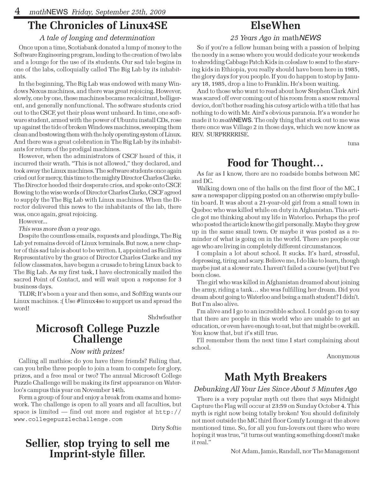# The Chronicles of Linux4SE

#### A tale of longing and determination

Once upon a time, Scotiabank donated a lump of money to the Software Engineering program, leading to the creation of two labs and a lounge for the use of its students. Our sad tale begins in one of the labs, colloquially called The Big Lab by its inhabitants.

In the beginning, The Big Lab was endowed with many Windows Nexus machines, and there was great rejoicing. However, slowly, one by one, these machines became recalcitrant, belligerent, and generally nonfunctional. The software students cried out to the CSCF, yet their pleas went unheard. In time, one software student, armed with the power of Ubuntu install CDs, rose up against the tide of broken Windows machines, sweeping them clean and bestowing them with the holy operating system of Linux. And there was a great celebration in The Big Lab by its inhabitants for return of the prodigal machines.

However, when the administrators of CSCF heard of this, it incurred their wrath. "This is not allowed," they declared, and took away the Linux machines. The software students once again cried out for mercy, this time to the mighty Director Charles Clarke. The Director heeded their desperate cries, and spoke onto CSCF. Bowing to the wise words of Director Charles Clarke, CSCF agreed to supply the The Big Lab with Linux machines. When the Director delivered this news to the inhabitants of the lab, there was, once again, great rejoicing.

However...

This was more than a year ago.

Despite the countless emails, requests and pleadings, The Big Lab yet remains devoid of Linux terminals. But now, a new chapter of this sad tale is about to be written. I, appointed as Facilities Representative by the grace of Director Charles Clarke and my fellow classmates, have begun a crusade to bring Linux back to The Big Lab. As my first task, I have electronically mailed the sacred Point of Contact, and will wait upon a response for 3 business days.

TLDR; It's been a year and then some, and SoftEng wants our Linux machines. :( Use #linux4se to support us and spread the word!

Shdwfeather

### Microsoft College Puzzle **Challenge**

#### Now with prizes!

Calling all mathies: do you have three friends? Failing that, can you bribe three people to join a team to compete for glory, prizes, and a free meal or two? The annual Microsoft College Puzzle Challenge will be making its first appearance on Waterloo's campus this year on November 14th.

Form a group of four and enjoy a break from exams and homework. The challenge is open to all years and all faculties, but space is limited — find out more and register at http:// www.collegepuzzlechallenge.com

Dirty Softie

# Sellier, stop trying to sell me Imprint-style filler.

# ElseWhen

#### 25 Years Ago in mathNEWS

So if you're a fellow human being with a passion of helping the needy in a sense where you would dedicate your weekends to shredding Cabbage Patch Kids in coleslaw to send to the starving kids in Ethiopia, you really should have been here in 1985, the glory days for you people. If you do happen to stop by January 18, 1985, drop a line to Franklin. He's been waiting.

And to those who want to read about how Stephen Clark Aird was scared off ever coming out of his room from a snow removal device, don't bother reading his cutesy article with a title that has nothing to do with Mr. Aird's obvious paranoia. It's a wonder he made it to *math* NEWS. The only thing that stuck out to me was there once was Village 2 in those days, which we now know as REV. SURPRRRRISE.

tuna

### Food for Thought…

As far as I know, there are no roadside bombs between MC and DC.

Walking down one of the halls on the first floor of the MC, I saw a newspaper clipping posted on an otherwise empty bulletin board. It was about a 21-year-old girl from a small town in Quebec who was killed while on duty in Afghanistan. This article got me thinking about my life in Waterloo. Perhaps the prof who posted the article knew the girl personally. Maybe they grew up in the same small town. Or maybe it was posted as a reminder of what is going on in the world. There are people our age who are living in completely different circumstances.

I complain a lot about school. It sucks. It's hard, stressful, depressing, tiring and scary. Believe me, I do like to learn, though maybe just at a slower rate. I haven't failed a course (yet) but I've been close.

The girl who was killed in Afghanistan dreamed about joining the army, riding a tank… she was fulfilling her dream. Did you dream about going to Waterloo and being a math student? I didn't. But I'm also alive.

I'm alive and I go to an incredible school. I could go on to say that there are people in this world who are unable to get an education, or even have enough to eat, but that might be overkill. You know that, but it's still true.

I'll remember them the next time I start complaining about school.

Anonymous

# Math Myth Breakers

#### Debunking All Your Lies Since About 5 Minutes Ago

There is a very popular myth out there that says Midnight Capture the Flag will occur at 23:59 on Sunday October 4. This myth is right now being totally broken! You should definitely not meet outside the MC third floor Comfy Lounge at the above mentioned time. So, for all you fun-lovers out there who were hoping it was true, "it turns out wanting something doesn't make it real."

Not Adam, Jamie, Randall, nor The Management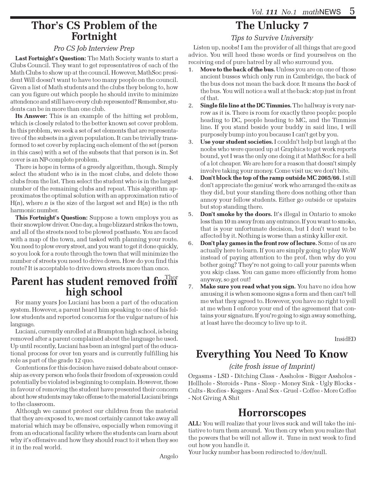### Thor's CS Problem of the Fortnight

#### Pro CS Job Interview Prep

Last Fortnight's Question: The Math Society wants to start a Clubs Council. They want to get representatives of each of the Math Clubs to show up at the council. However, MathSoc president Will doesn't want to have too many people on the council. Given a list of Math students and the clubs they belong to, how can you figure out which people he should invite to minimize attendence and still have every club represented? Remember, students can be in more than one club.

Its Answer: This is an example of the hitting set problem, which is closely related to the better known set cover problem. In this problem, we seek a set of set elements that are representative of the subsets in a given population. It can be trivially transformed to set cover by replacing each element of the set (person in this case) with a set of the subsets that that person is in. Set cover is an NP-complete problem.

There is hope in terms of a greedy algorithm, though. Simply select the student who is in the most clubs, and delete those clubs from the list. Then select the student who is in the largest number of the remaining clubs and repeat. This algorithm approximates the optimal solution with an approximation ratio of  $H(n)$ , where *n* is the size of the largest set and  $H(n)$  is the nth harmonic number.

This Fortnight's Question: Suppose a town employs you as their snowplow driver. One day, a huge blizzard strikes the town, and all of the streets need to be plowed posthaste. You are faced with a map of the town, and tasked with planning your route. You need to plow every street, and you want to get it done quickly, so you look for a route through the town that will minimize the number of streets you need to drive down. How do you find this route? It is acceptable to drive down streets more than once.

# Parent has student removed from high school

For many years Joe Luciani has been a part of the education system. However, a parent heard him speaking to one of his fellow students and reported concerns for the vulgar nature of his language.

Luciani, currently enrolled at a Brampton high school, is being removed after a parent complained about the language he used. Up until recently, Luciani has been an integral part of the educational process for over ten years and is currently fulfilling his role as part of the grade 12 quo.

Contentions for this decision have raised debate about censorship as every person who feels their freedom of expression could potentially be violated is beginning to complain. However, those in favour of removing the student have presented their concern about how students may take offense to the material Luciani brings to the classroom.

Although we cannot protect our children from the material that they are exposed to, we most certainly cannot take away all material which may be offensive, especially when removing it from an educational facility where the students can learn about why it's offensive and how they should react to it when they see it in the real world.

# The Unlucky 7

Tips to Survive University

Listen up, noobs! I am the provider of all things that are good advice. You will heed these words or find yourselves on the receiving end of pure hatred by all who surround you.

- 1. Move to the back of the bus. Unless you are on one of those ancient busses which only run in Cambridge, the back of the bus does not mean the back door. It means the back of the bus. You will notice a wall at the back: stop just in front of that.
- 2. Single file line at the DC Timmies. The hallway is very narrow as it is. There is room for exactly three people: people heading to DC, people heading to MC, and the Timmies line. If you stand beside your buddy in said line, I will purposely bump into you because I can't get by you.
- 3. Use your student societies. I couldn't help but laugh at the noobs who were queued up at Graphics to get work reports bound, yet I was the only one doing it at MathSoc for a hell of a lot cheaper. We are here for a reason that doesn't simply involve taking your money. Come visit us; we don't bite.
- 4. Don't block the top of the ramp outside MC 2065/66. I still don't appreciate the genius' work who arranged the exits as they did, but your standing there does nothing other than annoy your fellow students. Either go outside or upstairs but stop standing there.
- 5. Don't smoke by the doors. It's illegal in Ontario to smoke less than 10 m away from any entrance. If you want to smoke, that is your unfortunate decision, but I don't want to be affected by it. Nothing is worse than a stinky killer exit.
- 6. Don't play games in the front row of lecture. Some of us are actually here to learn. If you are simply going to play WoW instead of paying attention to the prof, then why do you bother going? They're not going to call your parents when you skip class. You can game more efficiently from home anyway, so get out!
- 7. Make sure you read what you sign. You have no idea how amusing it is when someone signs a form and then can't tell me what they agreed to. However, you have no right to yell at me when I enforce your end of the agreement that contains your signature. If you're going to sign away something, at least have the decency to live up to it.

InsidED

# Everything You Need To Know

#### (cite frosh issue of Imprint)

Orgasms - LSD - Ditching Class - Assholes - Bigger Assholes - Hellhole - Steroids - Pans - Sleep - Money Sink - Ugly Blocks - Cults - Roofies - Keggers - Anal Sex - Gruel - Coffee - More Coffee - Not Giving A Shit

### **Horrorscopes**

ALL: You will realize that your lives suck and will take the initiative to turn them around. You then cry when you realize that the powers that be will not allow it. Tune in next week to find out how you handle it.

Your lucky number has been redirected to/dev/null.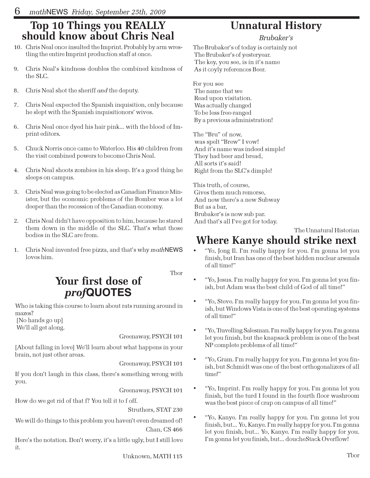# Top 10 Things you REALLY should know about Chris Neal

- 10. Chris Neal once insulted the Imprint. Probably by arm wrestling the entire Imprint production staff at once.
- 9. Chris Neal's kindness doubles the combined kindness of the SLC.
- 8. Chris Neal shot the sheriff and the deputy.
- 7. Chris Neal expected the Spanish inquisition, only because he slept with the Spanish inquisitionors' wives.
- 6. Chris Neal once dyed his hair pink... with the blood of Imprint editors.
- 5. Chuck Norris once came to Waterloo. His 40 children from the visit combined powers to become Chris Neal.
- 4. Chris Neal shoots zombies in his sleep. It's a good thing he sleeps on campus.
- 3. Chris Neal was going to be elected as Canadian Finance Minister, but the economic problems of the Bomber was a lot deeper than the recession of the Canadian economy.
- 2. Chris Neal didn't have opposition to him, because he stared them down in the middle of the SLC. That's what those bodies in the SLC are from.
- 1. Chris Neal invented free pizza, and that's why mathNEWS loves him.

Tbor

# Your first dose of prof**QUOTES**

Who is taking this course to learn about rats running around in mazes?

 [No hands go up] We'll all get along.

Greenaway, PSYCH 101

[About falling in love] We'll learn about what happens in your brain, not just other areas.

Greenaway, PSYCH 101

If you don't laugh in this class, there's something wrong with you.

Greenaway, PSYCH 101

How do we get rid of that f? You tell it to f off.

Struthers, STAT 230

We will do things to this problem you haven't even dreamed of! Chan, CS 466

Here's the notation. Don't worry, it's a little ugly, but I still love it.

Unknown, MATH 115

# Unnatural History

#### Brubaker's

The Brubaker's of today is certainly not The Brubaker's of yesteryear. The key, you see, is in it's name As it coyly references Beer.

For you see The name that we Read upon visitation. Was actually changed To be less free-ranged By a previous administration!

The "Bru" of now, was spelt "Brew" I vow! And it's name was indeed simple! They had beer and bread, All sorts it's said! Right from the SLC's dimple!

This truth, of course, Gives them much remorse, And now there's a new Subway But as a bar, Brubaker's is now sub par. And that's all I've got for today.

#### The Unnatural Historian Where Kanye should strike next

- "Yo, Jong Il. I'm really happy for you. I'm gonna let you finish, but Iran has one of the best hidden nuclear arsenals of all time!"
- "Yo, Jesus. I'm really happy for you. I'm gonna let you finish, but Adam was the best child of God of all time!"
- "Yo, Steve. I'm really happy for you. I'm gonna let you finish, but Windows Vista is one of the best operating systems of all time!"
- "Yo, Travelling Salesman. I'm really happy for you. I'm gonna let you finish, but the knapsack problem is one of the best NP complete problems of all time!"
- "Yo, Gram. I'm really happy for you. I'm gonna let you finish, but Schmidt was one of the best orthogonalizers of all time!"
- "Yo, Imprint. I'm really happy for you. I'm gonna let you finish, but the turd I found in the fourth floor washroom was the best piece of crap on campus of all time!"
- "Yo, Kanye. I'm really happy for you. I'm gonna let you finish, but... Yo, Kanye. I'm really happy for you. I'm gonna let you finish, but... Yo, Kanye. I'm really happy for you. I'm gonna let you finish, but... doucheStack Overflow!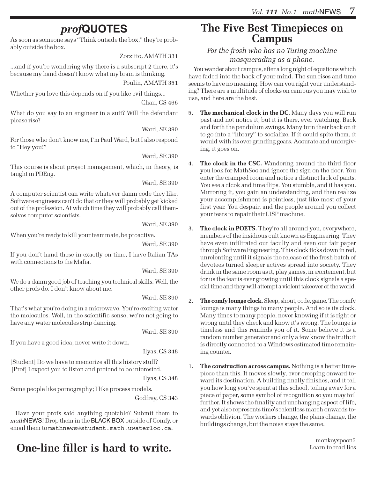# prof**QUOTES**

As soon as someone says "Think outside the box," they're probably outside the box.

Zorzitto, AMATH 331

...and if you're wondering why there is a subscript 2 there, it's because my hand doesn't know what my brain is thinking.

Poulin, AMATH 351

Whether you love this depends on if you like evil things...

Chan, CS 466

What do you say to an engineer in a suit? Will the defendant please rise?

Ward, SE 390

For those who don't know me, I'm Paul Ward, but I also respond to "Hey you!"

Ward, SE 390

This course is about project management, which, in theory, is taught in PDEng.

Ward, SE 390

A computer scientist can write whatever damn code they like. Software engineers can't do that or they will probably get kicked out of the profession. At which time they will probably call themselves computer scientists.

Ward, SE 390

When you're ready to kill your teammate, be proactive.

Ward, SE 390

If you don't hand these in exactly on time, I have Italian TAs with connections to the Mafia.

Ward, SE 390

We do a damn good job of teaching you technical skills. Well, the other profs do. I don't know about me.

Ward, SE 390

That's what you're doing in a microwave. You're exciting water the molecules. Well, in the scientific sense, we're not going to have any water molecules strip dancing.

Ward, SE 390

If you have a good idea, never write it down.

Ilyas, CS 348

[Student] Do we have to memorize all this history stuff? [Prof] I expect you to listen and pretend to be interested.

Ilyas, CS 348

Some people like pornography; I like process models.

Godfrey, CS 343

Have your profs said anything quotable? Submit them to mathNEWS! Drop them in the BLACK BOX outside of Comfy, or email them to mathnews@student.math.uwaterloo.ca.

# **One-line filler is hard to write.** Consequently the second Learn to read lies

### The Five Best Timepieces on Campus

For the frosh who has no Turing machine masquerading as a phone.

You wander about campus, after a long night of equations which have faded into the back of your mind. The sun rises and time seems to have no meaning. How can you right your understanding? There are a multitude of clocks on campus you may wish to use, and here are the best.

- 5. The mechanical clock in the DC. Many days you will run past and not notice it, but it is there, ever watching. Back and forth the pendulum swings. Many turn their back on it to go into a "library" to socialize. If it could spite them, it would with its ever grinding gears. Accurate and unforgiving, it goes on.
- 4. The clock in the CSC. Wandering around the third floor you look for MathSoc and ignore the sign on the door. You enter the cramped room and notice a distinct lack of pants. You see a clcok and time flips. You stumble, and it has you. Mirroring it, you gain an understanding, and then realize your accomplishment is pointless, just like most of your first year. You despair, and the people around you collect your tears to repair their LISP machine.
- 3. The clock in POETS. They're all around you, everywhere, members of the insidious cult known as Engineering. They have even infiltrated our faculty and even our fair paper through Software Engineering. This clock ticks down in red, unrelenting until it signals the release of the fresh batch of devotees turned sleeper actives spread into society. They drink in the same room as it, play games, in excitement, but for us the fear is ever growing until this clock signals a special time and they will attempt a violent takeover of the world.
- 2. The comfy lounge clock. Sleep, shout, code, game. The comfy lounge is many things to many people. And so is its clock. Many times to many people, never knowing if it is right or wrong until they check and know it's wrong. The lounge is timeless and this reminds you of it. Some believe it is a random number generator and only a few know the truth: it is directly connected to a Windows estimated time remaining counter.
- 1. The construction across campus. Nothing is a better timepiece than this. It moves slowly, ever creeping onward toward its destination. A building finally finishes, and it tell you how long you've spent at this school, toiling away for a piece of paper, some symbol of recognition so you may toil further. It shows the finality and unchanging aspect of life, and yet also represents time's relentless march onwards towards oblivion. The workers change, the plans change, the buildings change, but the noise stays the same.

monkeyspoon5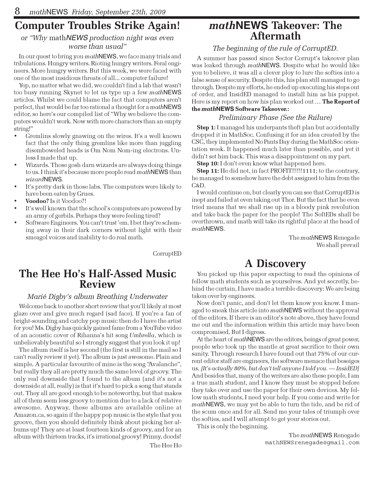# Computer Troubles Strike Again!

#### or "Why mathNEWS production night was even worse than usual"

In our quest to bring you mathNEWS, we face many trials and tribulations. Hungry writers. Rioting hungry writers. Feral engineers. More hungry writers. But this week, we were faced with one of the most insidious threats of all... computer failure!

Yep, no matter what we did, we couldn't find a lab that wasn't too busy running Skynet to let us type up a few mathNEWS articles. Whilst we could blame the fact that computers aren't perfect, that would be far too rational a thought for a mathNEWS editor, so here's our compiled list of "Why we believe the computers wouldn't work. Now with more characters than an empty string!"

- Gremlins slowly gnawing on the wires. It's a well known fact that the only thing gremlins like more than juggling disemboweled heads is Om Nom Nom-ing electrons. Unless I made that up.
- Wizards. Those gosh darn wizards are always doing things to us. I think it's because more people read mathNEWS than wizardNEWS.
- It's pretty dark in those labs. The computers were likely to have been eaten by Grues.
- Voodoo? Is it Voodoo?!
- It's well known that the school's computers are powered by an army of gerbils. Perhaps they were feeling tired?
- Software Engineers. You can't trust 'em. I bet they're scheming away in their dark corners without light with their smeagol voices and inability to do real math.

CorruptED

### The Hee Ho's Half-Assed Music Review

#### Marié Digby's album Breathing Underwater

Welcome back to another short review that you'll likely at most glaze over and give much regard (sad face). If you're a fan of bright-sounding and catchy pop music then do I have the artist for you! Ms. Digby has quickly gained fame from a YouTube video of an acoustic cover of Rihanna's hit song Umbrella, which is unbelievably beautiful so I strongly suggest that you look it up!

The album itself is her second (the first is still in the mail so I can't really review it yet). The album is just awesome. Plain and simple. A particular favourite of mine is the song "Avalanche", but really they all are pretty much the same level of groovy. The only real downside that I found to the album (and it's not a downside at all, really) is that it's hard to pick a song that stands out. They all are good enough to be noteworthy, but that makes all of them seem less groovy to mention due to a lack of relative awesome. Anyway, these albums are available online at Amazon.ca, so again if the happy pop music is the style that you groove, then you should definitely think about picking her albums up! They are at least fourteen kinds of groovy, and for an album with thirteen tracks, it's irrational groovy! Prinny, doods! The Hee Ho

### math**NEWS** Takeover: The Aftermath

#### The beginning of the rule of CorruptED.

A summer has passed since Sector Corrupt's takeover plan was leaked through *math* NEWS. Despite what he would like you to believe, it was all a clever ploy to lure the softies into a false sense of security. Despite this, his plan still managed to go through. Despite my efforts, he ended up executing his steps out of order, and InsidED managed to install him as his puppet. Here is my report on how his plan worked out ... The Report of the math**NEWS** Software Takeover.:

#### Preliminary Phase (See the Failure)

Step 1: I managed his underpants theft plan but accidentally dropped it in MathSoc. Confusing it for an idea created by the CSC, they implemented No Pants Day during the MathSoc orientation week. It happened much later than possible, and yet it didn't set him back. This was a disappointment on my part.

**Step 10:** I don't even know what happened here.

Step 11: He did not, in fact PROFIT!!!!!1111; to the contrary, he managed to somehow have the debt assigned to him from the C&D.

I would continue on, but clearly you can see that CorruptED is inept and failed at even taking out Thor. But the fact that he even tried means that we shall rise up in a bloody pink revolution and take back the paper for the people! The SoftEDs shall be overthrown, and math will take its rightful place at the head of mathNEWS.

> The mathNEWS Renegade We shall prevail

# A Discovery

You picked up this paper expecting to read the opinions of fellow math students such as yourselves. And yet secretly, behind the curtain, I have made a terrible discovery: We are being taken over by engineers.

Now don't panic, and don't let them know you know. I managed to sneak this article into mathNEWS without the approval of the editors. If there is an editor's note above, they have found me out and the information within this article may have been compromised. But I digress.

At the heart of *math* NEWS are the editors, beings of great power, people who took up the mantle at great sacrifice to their own sanity. Through research I have found out that 75% of our current editor staff are engineers, the software menace that beseiges us. [It's actually 80%, but don't tell anyone I told you. — InsidED] And besides that, many of the writers are also these people. I am a true math student, and I know they must be stopped before they take over and use the paper for their own devices. My fellow math students, I need your help. If you come and write for mathNEWS, we may yet be able to turn the tide, and be rid of the scum once and for all. Send me your tales of triumph over the softies, and I will attempt to get your stories out.

This is only the beginning.

The mathNEWS Renegade mathNEWSrenegade@gmail.com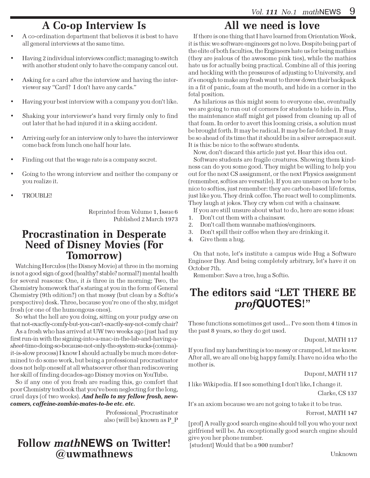# A Co-op Interview Is

- A co-ordination department that believes it is best to have all general interviews at the same time.
- Having 2 individual interviews conflict; managing to switch with another student only to have the company cancel out.
- Asking for a card after the interview and having the interviewer say "Card? I don't have any cards."
- Having your best interview with a company you don't like.
- Shaking your interviewer's hand very firmly only to find out later that he had injured it in a skiing accident.
- Arriving early for an interview only to have the interviewer come back from lunch one half hour late.
- Finding out that the wage rate is a company secret.
- Going to the wrong interview and neither the company or you realize it.
- TROUBLE!

Reprinted from Volume 1, Issue 6 Published 2 March 1973

### Procrastination in Desperate Need of Disney Movies (For Tomorrow)

Watching Hercules (the Disney Movie) at three in the morning is not a good sign of good (healthy? stable? normal?) mental health for several reasons: One, it is three in the morning; Two, the Chemistry homework that's staring at you in the form of General Chemistry (9th edition?) on that messy (but clean by a Softie's perspective) desk. Three, because you're one of the shy, midget frosh (or one of the humongous ones).

So what the hell are you doing, sitting on your pudgy arse on that not-exactly-comfy-but-you-can't-exactly-say-not-comfy chair?

As a frosh who has arrived at UW two weeks ago (just had my first run-in with the signing-into-a-mac-in-the-lab-and-having-asheet-time-doing-so-because-not-only-the-system-sucks-(comma) it-is-slow process) I know I should actually be much more determined to do some work, but being a professional procrastinator does not help oneself at all whatsoever other than rediscovering her skill of finding decades-ago Disney movies on YouTube.

So if any one of you frosh are reading this, go comfort that poor Chemistry textbook that you've been neglecting for the long, cruel days (of two weeks). And hello to my fellow frosh, newcomers, caffeine-zombie-mates-to-be etc. etc.

> Professional\_Procrastinator also (will be) known as P\_P

### Follow math**NEWS** on Twitter! @uwmathnews

# All we need is love

If there is one thing that I have learned from Orientation Week, it is this: we software engineers get no love. Despite being part of the elite of both faculties, the Engineers hate us for being mathies (they are jealous of the awesome pink ties), while the mathies hate us for actually being practical. Combine all of this jeering and heckling with the pressures of adjusting to University, and it's enough to make any frosh want to throw down their backpack in a fit of panic, foam at the mouth, and hide in a corner in the fetal position.

As hilarious as this might seem to everyone else, eventually we are going to run out of corners for students to hide in. Plus, the maintenance staff might get pissed from cleaning up all of that foam. In order to avert this looming crisis, a solution must be brought forth. It may be radical. It may be far-fetched. It may be so ahead of its time that it should be in a silver aerospace suit. It is this: be nice to the software students.

Now, don't discard this article just yet. Hear this idea out.

Software students are fragile creatures. Showing them kindness can do you some good. They might be willing to help you out for the next CS assignment, or the next Physics assignment (remember, softies are versatile). If you are unsure on how to be nice to softies, just remember: they are carbon-based life forms, just like you. They drink coffee. The react well to compliments. They laugh at jokes. They cry when cut with a chainsaw.

If you are still unsure about what to do, here are some ideas:

- 1. Don't cut them with a chainsaw.
- 2. Don't call them wannabe mathies/engineers.
- 3. Don't spill their coffee when they are drinking it.
- 4. Give them a hug.

On that note, let's institute a campus wide Hug a Software Engineer Day. And being completely arbitrary, let's have it on October 7th.

Remember: Save a tree, hug a Softie.

# The editors said "LET THERE BE prof**QUOTES**!"

These functions sometimes get used... I've seen them 4 times in the past 8 years, so they do get used.

Dupont, MATH 117

If you find my handwriting is too messy or cramped, let me know. After all, we are all one big happy family. I have no idea who the mother is.

Dupont, MATH 117

I like Wikipedia. If I see something I don't like, I change it.

Clarke, CS 137

It's an axiom because we are not going to take it to be true.

Forrest, MATH 147

[prof] A really good search engine should tell you who your next girlfriend will be. An exceptionally good search engine should give you her phone number.

[student] Would that be a 900 number?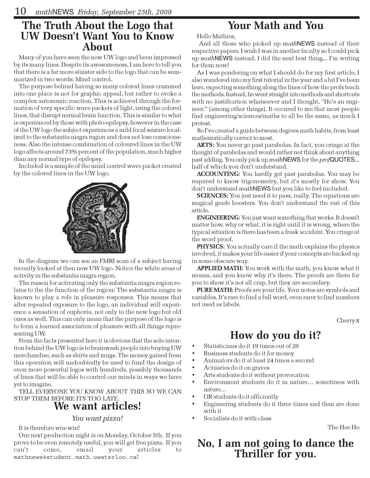### The Truth About the Logo that UW Doesn't Want You to Know About

Many of you have seen the new UW logo and been impressed by its many lines. Despite its awesomeness, I am here to tell you that there is a far more sinister side to the logo that can be summarized in two words: Mind control.

The purpose behind having so many colored lines crammed into one place is not for graphic appeal, but rather to evoke a complex autonomic reaction. This is achieved through the formation of very specific wave packets of light, using the colored lines, that disrupt normal brain function. This is similar to what is experienced by those with photo-epilepsy, however in the case of the UW logo the subject experiences a mild focal seizure localized to the substantia niagra region and does not lose consciousness. Also the intense combination of coloured lines in the UW logo affects around 73% percent of the population, much higher than any normal type of epilepsy.

Included is a sample of the mind control wave packet created by the colored lines in the UW logo.



In the diagram we can see an FMRI scan of a subject having recently looked at then new UW logo. Notice the white areas of activity in the substantia niagra region.

The reason for activating only the substantia niagra region relates to the the function of the region: The substantia niagra is known to play a role in pleasure responses. This means that after repeated exposure to the logo, an individual will experience a sensation of euphoria, not only to the new logo but old ones as well. This can only mean that the purpose of the logo is to form a learned association of pleasure with all things representing UW.

From the facts presented here it is obvious that the sole intention behind the UW logo is to brainwash people into buying UW merchandise, such as shirts and mugs. The money gained from this operation will undoubtedly be used to fund the design of even more powerful logos with hundreds, possibly thousands of lines that will be able to control our minds in ways we have yet to imagine.

TELL EVERYONE YOU KNOW ABOUT THIS SO WE CAN STOP THEM BEFORE ITS TOO LATE.

# We want articles!

#### You want pizza!

It is therefore win-win!

Our next production night is on Monday, October 5th. If you prove to be even remotely useful, you will get free pizza. If you can't come, email your articles to mathnews@student.math.uwaterloo.ca!

# Your Math and You

Hello Mathies,

 And all those who picked up mathNEWS instead of their respective papers. I wish I was in another faculty so I could pick up mathNEWS instead. I did the next best thing... I'm writing for them now!

As I was pondering on what I should do for my first article, I also wandered into my first tutorial in the year and a bit I've been here, expecting something along the lines of how the profs teach the methods. Instead, he went straight into methods and shortcuts with no justification whatsoever and I thought, "He's an engineer." (among other things). It occured to me that most people find engineering/sciences/maths to all be the same, as much I protest.

So I've created a guide between degrees math habits, from least mathematically correct to most.

ARTS: You never go past parabolas. In fact, you cringe at the thought of parabolas and would rather not think about anything past adding. You only pick up mathNEWS for the profQUOTES... half of which you don't understand.

ACCOUNTING: You hardly get past parabolas. You may be required to know trigonometry, but it's mostly for show. You don't understand mathNEWS but you like to feel included.

**SCIENCES:** You just need it to pass, really. The equations are magical grade boosters. You don't understand the rest of this article.

ENGINEERING: You just want something that works. It doesn't matter how, why or what, it is right until it is wrong, where the typical situation is there has been a freak accident. You cringe at the word proof.

PHYSICS: You actually care if the math explains the physics involved, it makes your life easier if your concepts are backed up in some obscure way.

APPLIED MATH: You work with the math, you know what it means, and you know why it's there. The proofs are there for you to show it's not all crap, but they are secondary.

PURE MATH: Proofs are your life. Your notes are symbols and variables. It's rare to find a full word, even rarer to find numbers not used as labels.

Cherry  $\pi$ 

# How do you do it?

- Statisticians do it 19 times out of 20
- Business students do it for money
- Animators do it at least 24 times a second
- Actuaries do it on graves
- Arts students do it without provocation
- Environment students do it in nature… sometimes with nature…
- OR students do it efficiently
- Engineering students do it three times and then are done with it
- Socialists do it with class

The Hee Ho

# No, I am not going to dance the Thriller for you.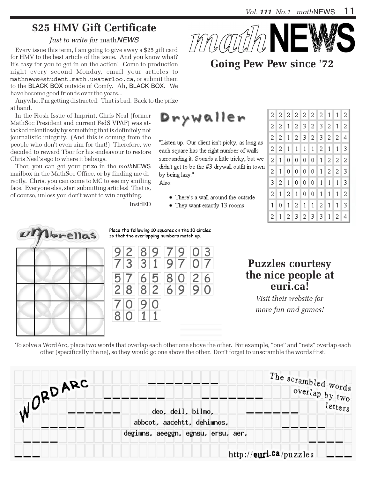# \$25 HMV Gift Certificate

#### Just to write for mathNEWS

Every issue this term, I am going to give away a \$25 gift card for HMV to the best article of the issue. And you know what? It's easy for you to get in on the action! Come to production night every second Monday, email your articles to mathnews@student.math.uwaterloo.ca, or submit them to the BLACK BOX outside of Comfy. Ah, BLACK BOX. We have become good friends over the years...

Anywho, I'm getting distracted. That is bad. Back to the prize at hand.

In the Frosh Issue of Imprint, Chris Neal (former MathSoc President and current FedS VPAF) was attacked relentlessly by something that is definitely not journalistic integrity. (And this is coming from the people who don't even aim for that!) Therefore, we decided to reward Tbor for his endeavour to restore Chris Neal's ego to where it belongs.

Tbor, you can get your prize in the mathNEWS mailbox in the MathSoc Office, or by finding me directly. Chris, you can come to MC to see my smiling face. Everyone else, start submitting articles! That is, of course, unless you don't want to win anything.

InsidED



# Going Pew Pew since '72

Drywaller

"Listen up. Our client isn't picky, as long as each square has the right number of walls surrounding it. Sounds a little tricky, but we didn't get to be the #3 drywall outfit in town by being lazy." Also:

- There's a wall around the outside
- They want exactly 13 rooms

| 2           | $\overline{2}$          |                   |                 |                 | 2 2 2 2 2 1    |                |                 | $\mathbf{1}$   | 2              |
|-------------|-------------------------|-------------------|-----------------|-----------------|----------------|----------------|-----------------|----------------|----------------|
| 2           | 2 <sub>1</sub>          |                   | $1 \mid 2 \mid$ | 31              | 2 <sub>1</sub> |                | 3 2             | 1              | 2              |
| $\mathbf 2$ |                         | $2 \mid 1 \mid$   |                 | $2 \mid 3 \mid$ |                | 2 3            | 2 <sub>1</sub>  | 2 <sup>1</sup> | $\overline{4}$ |
| 2           | $\vert 2 \vert 1 \vert$ |                   |                 |                 | 1 <sub>1</sub> | 2 <sub>1</sub> | $\mathbf{1}$    | $\mathbf{1}$   | 3              |
| 2           | $\mathbf{1}$            | 0                 | 0               | 0               | 0              | $\mathbf{1}$   | $\mathbf{2}$    | 2              | 2              |
| 2           | 1                       | 0                 | 0               | 0.              | $\overline{0}$ | 1 <sub>1</sub> | $\vert 2 \vert$ | $\overline{2}$ | 3              |
| 3           | 2                       | $\vert$ 1         | 0               | 0               | $\overline{0}$ | 1 <sup>1</sup> | $\mathbf{1}$    | $\mathbf 1$    | 3              |
| 2           |                         | $1 \vert 2 \vert$ |                 | $1 \vert 0$     | 0.             | $\mathbf{1}$   | $\mathbf{1}$    | $\mathbf{1}$   | 2              |
| $\mathbf 1$ | 0                       | $\mathbf{1}$      | 2               | $\mathbf{1}$    | $\mathbf{1}$   | 2              | $\mathbf{1}$    | 1              | 3              |
| 2           | 1                       | $\vert 2 \vert$   | $\mathbf{3}$    | 2               | $\mathbf{3}$   | 3              | $\mathbf{1}$    | 2              | 4              |



Place the following 10 squares on the 10 circles so that the overlapping numbers match up.



### Puzzles courtesy the nice people at euri.ca!

Visit their website for more fun and games!

To solve a WordArc, place two words that overlap each other one above the other. For example, "one" and "nets" overlap each other (specifically the ne), so they would go one above the other. Don't forget to unscramble the words first!